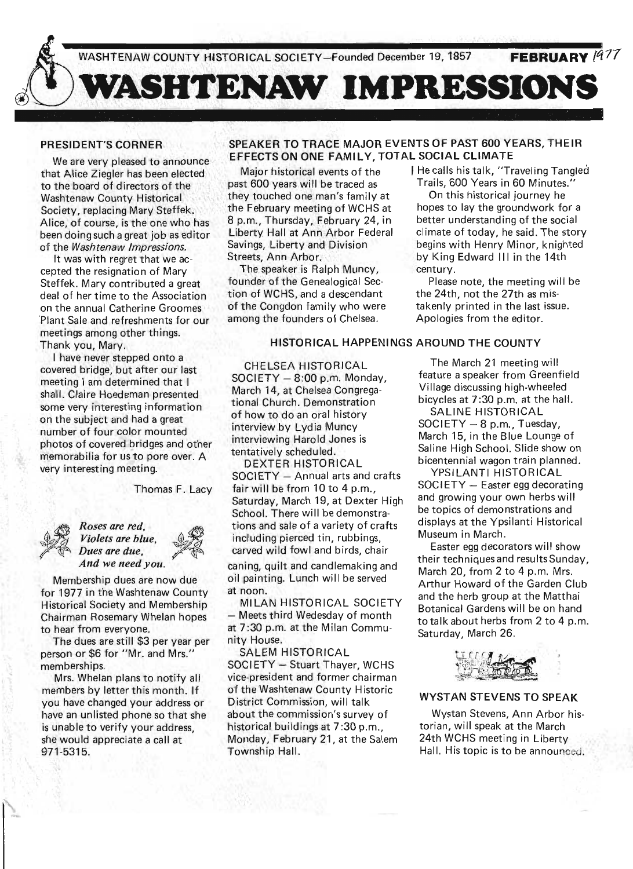

# PRESIDENT'S CORNER

We are very pleased to announce that Alice Ziegler has been elected to the board of directors of the Washtenaw County Historical Society, replacing Mary Steffek. Alice, of course, is the one who has been doing such a great job as editor of the Washtenaw Impressions.

It was with regret that we accepted the resignation of Mary Steffek. Mary contributed a great deal of her time to the Association on the annual Catherine Groomes 'Plant Sale and refreshments for our meetings among other things. Thank you, Mary.

I have never stepped onto a covered bridge, but after our last meeting I am determined that I shall. Claire Hoedeman presented some very interesting information on the subject and had a great number of four color mounted photos of covered bridges and other memorabilia for us to pore over. A very interesting meeting.

Thomas F. Lacy



E<br>*Roses are red,*<br>*Violets are blue,*<br>*Dues are due,*  $R$ *oses are red,<br>Violets are blue,<br>Dues are due. And we need you.* 

Membership dues are now due for 1977 in the Washtenaw County Historical Society and Membership Chairman Rosemary Whelan hopes to hear from everyone.

The dues are still \$3 per year per person or \$6 for "Mr. and Mrs." memberships.

Mrs. Whelan plans to notify all members by letter this month. If you have changed your address or have an unlisted phone so that she is unable to verify your address, she would appreciate a call at 971-5315.

# SPEAKER TO TRACE MAJOR EVENTS OF PAST 600 YEARS, THEIR EFFECTS ON ONE FAMILY, TOTAL SOCIAL CLIMATE

Major historical events of the past 600 years will be traced as they touched one man's family at the February meeting of WCHS at 8 p.m., Thursday, February 24, in Liberty Hall at Ann Arbor Federal Savings, Liberty and Division Streets, Ann Arbor.

The speaker is Ralph Muncy, founder of the Genealogical Section of WCHS, and a descendant of the Congdon family who were among the founders of Chelsea.

I He calls his talk, "Traveling Tangled Trails, 600 Years in 60 Minutes."

On this historical journey he hopes to lay the groundwork for a better understanding of the social climate of today, he said. The story begins with Henry Minor, knighted by King Edward III in the 14th century.

Please note, the meeting will be the 24th, not the 27th as mistakenly printed in the last issue. Apologies from the editor.

### HISTORICAL HAPPENINGS AROUND THE COUNTY

CHELSEA HISTORICAL  $SOCIETY - 8:00 p.m.$  Monday, . March 14, at Chelsea Congregational Church. Demonstration of how to do an oral history interview by Lydia Muncy interviewing Harold Jones is tentatively scheduled.

DEXTER HISTORICAL SOCIETY - Annual arts and crafts fair will be from 10 to 4 p.m., Saturday, March 19, at Dexter High School. There will be demonstrations and sale of a variety of crafts including pierced tin, rubbings, carved wild fowl and birds, chair

caning, quilt and candlemaking and oil painting. Lunch will be served at noon.

**MILAN HISTORICAL SOCIETY** - Meets third Wedesday of month at 7:30 p.m. at the Milan Community House.

SALEM HISTORICAL SOCIETY - Stuart Thayer, WCHS vice-president and former chairman of the Washtenaw County Historic District Commission, will talk about the commission's survey of historical buildings at 7:30 p.m., Monday, February 21, at the Salem Township Hall.

The March 21 meeting will feature a speaker from Greenfield Village discussing high-wheeled bicycles at 7 :30 p.m. at the hall.

SALINE HISTORICAL  $SOCIETY - 8 p.m., Tuesday,$ March 15, in the Blue Lounge of Saline High School. Slide show on bicentennial wagon train planned.

YPSILANTI HISTORICAL  $SOCIETY - Easter$ egg decorating and growing your own herbs will be topics of demonstrations and displays at the Ypsilanti Historical Museum in March.

Easter egg decorators will show their techniques and results Sunday, March 20, from 2 to 4 p.m. Mrs. Arthur Howard of the Garden Club and the herb group at the Matthai Botanical Gardens will be on hand to talk about herbs from 2 to 4 p.m. Saturday, March 26.



# WYSTAN STEVENS TO SPEAK

Wystan Stevens, Ann Arbor historian, will speak at the March 24th WCHS meeting in Liberty Hall. His topic is to be announced.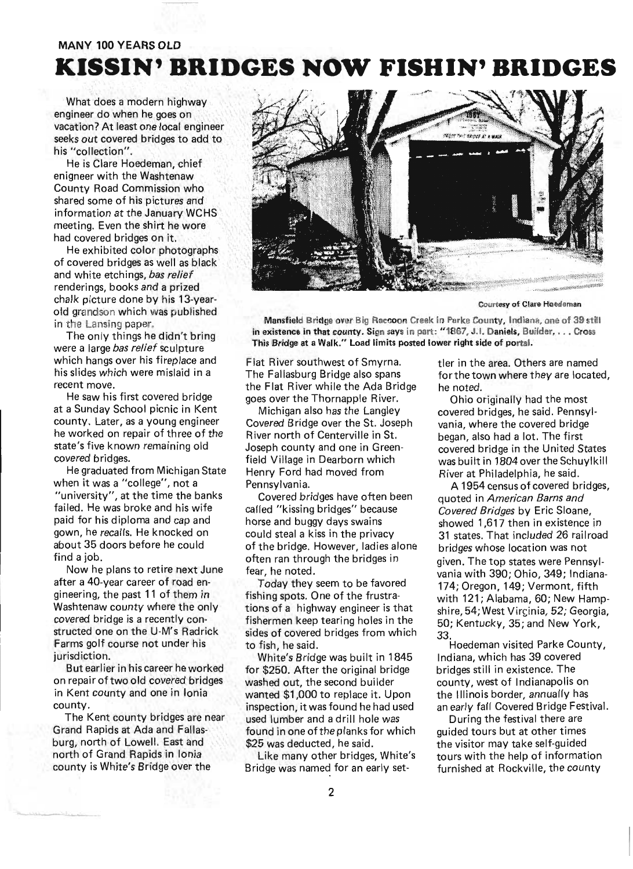# **MANY 100 YEARS OLD**

# **KISSIN' BRIDGES NOW FISHIN' BRIDGES**

What does a modern highway engineer do when he goes on vacation? At least one local engineer seeks out covered bridges to add to his "collection".

He is Clare Hoedeman, chief enigneer with the Washtenaw County Road Commission who shared some of his pictures and information at the January WCHS meeting. Even the shirt he wore had covered bridges on it.

He exhibited color photographs of covered bridges as well as black and white etchings, bas relief renderings, books and a prized chalk picture done by his 13-yearold grandson which was published in the Lansing paper.

The only things he didn't bring were a large bas relief sculpture which hangs over his fireplace and his slides which were mislaid in a recent move.

He saw his first covered bridge at a Sunday School picnic in Kent county. Later, as a young engineer he worked on repair of three of the state's five known remaining old covered bridges.

He graduated from Michigan State when it was a "college", not a "university", at the time the banks failed. He was broke and his wife paid for his diploma and cap and gown, he recalls. He knocked on about 35 doors before he could find a job.

Now he plans to retire next June after a 40-year career of road engineering, the past 11 of them in Washtenaw county where the only covered bridge is a recently constructed one on the U-M's Radrick Farms golf course not under his jurisdiction.

But earlier in his career he worked on repair of two old covered bridges in Kent county and one in Ionia county.

The Kent county bridges are near Grand Rapids at Ada and Fallasburg, north of Lowell. East and north of Grand Rapids in Ionia county is White's Bridge over the



Courtesy of Clare Hoedeman

Mansfield Bridge over Big Raccoon Creek in Parke County, Indiana, one of 39 still in existence in that county. Sign says in part: "1867, J.I. Daniels, Builder, ... Cross This Bridge at a Walk." Load limits posted lower right side of portal.

Flat River southwest of Smyrna. The Fallasburg Bridge also spans the Flat River while the Ada Bridge goes over the Thornapple River.

Michigan also has the Langley Covered Bridge over the St. Joseph River north of Centerville in St. Joseph county and one in Greenfield Village in Dearborn which Henry Ford had moved from Pennsylvania.

Covered bridges have often been called "kissing bridges" because horse and buggy days swains could steal a kiss in the privacy of the bridge. However, ladies alone often ran through the bridges in fear, he noted.

Today they seem to be favored fishing spots. One of the frustrations of a highway engineer is that fishermen keep tearing holes in the sides of covered bridges from which to fish, he said .

White's Bridge was built in 1845 for \$250. After the original bridge washed out, the second builder wanted \$1,000 to replace it. Upon inspection, it was found he had used used lumber and a drill hole was found in one of the planks for which \$25 was deducted, he said.

Like many other bridges, White's Bridge was named for an early settler in the area. Others are named for the town where they are located, he noted.

Ohio originally had the most covered bridges, he said. Pennsylvania, where the covered bridge began, also had a lot. The first covered bridge in the United States was built in 1804 over the Schuylkill River at Philadelphia, he said.

A 1954 census of covered bridges, quoted in American Barns and Covered Bridges by Eric Sloane, showed 1,617 then in existence in 31 states. That included 26 railroad bridges whose location was not given. The top states were Pennsylvania with 390; Ohio, 349; Indiana-174; Oregon, 149; Vermont, fifth with 121; Alabama, 60; New Hampshire, 54; West Vircinia, 52; Georgia, 50; Kentucky, 35; and New York, 33. Hoedeman visited Parke County,

Indiana, which has 39 covered bridges still in existence. The county, west of Indianapolis on the Illinois border, annually has an early fall Covered Bridge Festival.

During the festival there are guided tours but at other times the visitor may take self-guided tours with the help of information furnished at Rockville, the county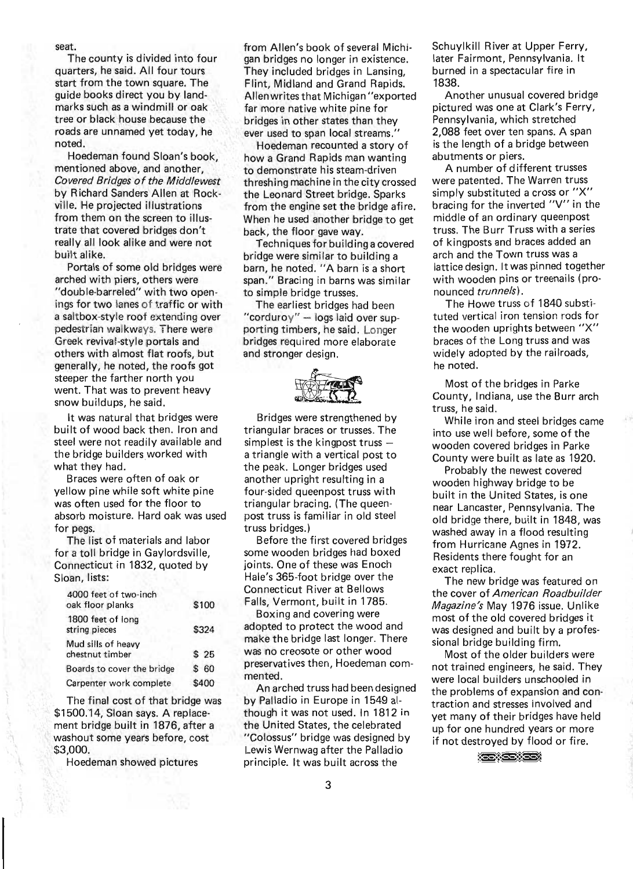#### seat.

The county is divided into four quarters, he said. All four tours start from the town square. The guide books direct you by landmarks such as a windmill or oak tree or black house because the roads are unnamed yet today, he noted.

Hoedeman found Sloan's book, mentioned above, and another, Covered Bridges of the Middlewest by Richard Sanders Allen at Rockville. He projected illustrations from them on the screen to illustrate that covered bridges don't really all look alike and were not built alike.

Portals of some old bridges were arched with piers, others were "double-barreled" with two openings for two lanes of traffic or with a saltbox-style roof extending over pedestrian walkways. There were Greek revival-style portals and others with almost flat roofs, but generally, he noted, the roofs got steeper the farther north you went. That was to prevent heavy snow buildups, he said.

It was natural that bridges were built of wood back then. Iron and steel were not readily available and the bridge builders worked with what they had.

Braces were often of oak or yellow pine while soft white pine was often used for the floor to absorb moisture. Hard oak was used for pegs.

The list of materials and labor for a toll bridge in Gaylordsville, Connecticut in 1832, quoted by Sloan, lists:

| 4000 feet of two-inch<br>oak floor planks | \$100 |
|-------------------------------------------|-------|
| 1800 feet of long<br>string pieces        | \$324 |
| Mud sills of heavy<br>chestnut timber     | \$25  |
| Boards to cover the bridge                | \$60  |
| Carpenter work complete                   | \$400 |
|                                           |       |

The final cost of that bridge was \$1500.14, Sloan says. A replacement bridge built in 1876, after a washout some years before, cost \$3,000.

Hoedeman shewed pictures

from Allen's book of several Michigan bridges no longer in existence. They included bridges in Lansing, Flint, Midland and Grand Rapids. Allenwrites that Michigan "exported far more native white pine for bridges in other states than they ever used to span local streams."

Hoedeman recounted a story of how a Grand Rapids man wanting to demonstrate his steam-driven threshing machine in the city crossed the Leonard Street bridge. Sparks from the engine set the bridge afire. When he used another bridge to get back, the floor gave way.

Techniques for building a covered bridge were similar to building a barn, he noted. "A barn is a short span." Bracing in barns was similar to simple bridge trusses.

The earliest bridges had been "corduroy" - logs laid over supporting timbers, he said. Longer bridges required more elaborate and stronger design.



Bridges were strengthened by triangular braces or trusses. The simplest is the kingpost truss  $$ a triangle with a vertical post to the peak. Longer bridges used another upright resulting in a four-sided queenpost truss with triangular bracing. (The queenpost truss is familiar in old steel truss bridges.)

Before the first covered bridges some wooden bridges had boxed joints. One of these was Enoch Hale's 365-foot bridge over the Connecticut River at Bellows Falls, Vermont, built in 1785.

Boxing and covering were adopted to protect the wood and make the bridge last longer. There was no creosote or other wood preservatives then, Hoedeman commented.

An arched truss had been designed by Palladio in Europe in 1549 although it was not used. In 1812 in the United States, the celebrated "Colossus" bridge was designed by Lewis Wernwag after the Palladio principle. It was built across the

Schuylkill River at Upper Ferry, later Fairmont, Pennsylvania. It burned in a spectacular fire in 1838.

Another unusual covered bridge pictured was one at Clark's Ferry, Pennsylvania, which stretched 2,088 feet over ten spans. A span is the length of a bridge between abutments or piers.

A number of different trusses were patented. The Warren truss simply substituted a cross or "X" bracing for the inverted "V" in the middle of an ordinary queenpost truss. The Burr Truss with a series of kingposts and braces added an arch and the Town truss was a lattice design. It was pinned together with wooden pins or treenails (pronounced *trunnels*).

The Howe truss of 1840 substituted vertical iron tension rods for the wooden uprights between "x" braces of the Long truss and was widely adopted by the railroads, he noted.

Most of the bridges in Parke County, Indiana, use the Burr arch truss, he said.

While iron and steel bridges came into use well before, some of the wooden covered bridges in Parke County were built as late as 1920.

Probably the newest covered wooden highway bridge to be built in the United States, is one near Lancaster, Pennsylvania. The old bridge there, built in 1848, was washed away in a flood resulting from Hurricane Agnes in 1972. Residents there fought for an exact replica.

The new bridge was featured on the cover of American Roadbuilder Magazine's May 1976 issue. Unlike most of the old covered bridges it was designed and built by a professional bridge building firm.

Most of the older builders were not trained engineers, he said. They were local builders unschooled in the problems of expansion and contraction and stresses involved and yet many of their bridges have held up for one hundred years or more if not destroyed by flood or fire.